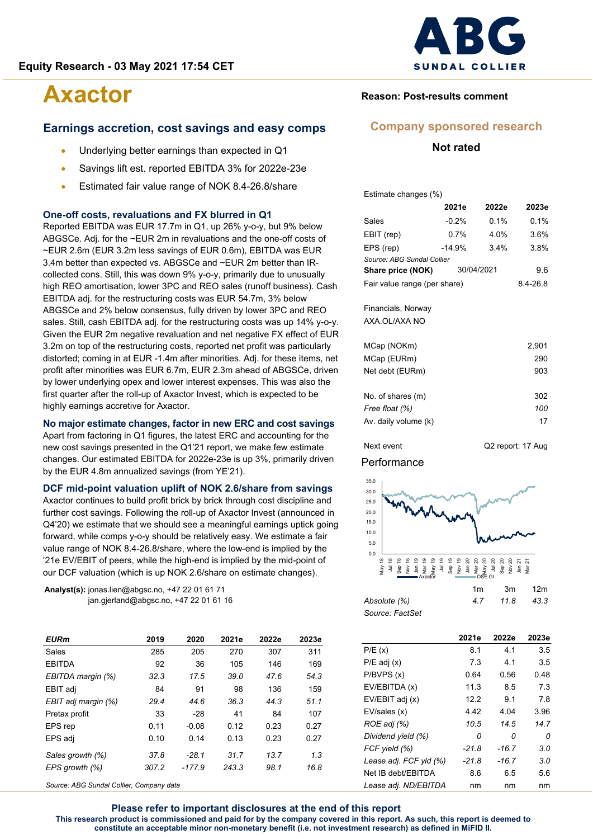#### **Earnings accretion, cost savings and easy comps**

- Underlying better earnings than expected in Q1
- Savings lift est. reported EBITDA 3% for 2022e-23e
- Estimated fair value range of NOK 8.4-26.8/share

#### **One-off costs, revaluations and FX blurred in Q1**

Reported EBITDA was EUR 17.7m in Q1, up 26% y-o-y, but 9% below ABGSCe. Adj. for the ~EUR 2m in revaluations and the one-off costs of ~EUR 2.6m (EUR 3.2m less savings of EUR 0.6m), EBITDA was EUR 3.4m better than expected vs. ABGSCe and ~EUR 2m better than IRcollected cons. Still, this was down 9% y-o-y, primarily due to unusually high REO amortisation, lower 3PC and REO sales (runoff business). Cash EBITDA adj. for the restructuring costs was EUR 54.7m, 3% below ABGSCe and 2% below consensus, fully driven by lower 3PC and REO sales. Still, cash EBITDA adj. for the restructuring costs was up 14% y-o-y. Given the EUR 2m negative revaluation and net negative FX effect of EUR 3.2m on top of the restructuring costs, reported net profit was particularly distorted; coming in at EUR -1.4m after minorities. Adj. for these items, net profit after minorities was EUR 6.7m, EUR 2.3m ahead of ABGSCe, driven by lower underlying opex and lower interest expenses. This was also the first quarter after the roll-up of Axactor Invest, which is expected to be highly earnings accretive for Axactor.

#### **No major estimate changes, factor in new ERC and cost savings**

Apart from factoring in Q1 figures, the latest ERC and accounting for the new cost savings presented in the Q1'21 report, we make few estimate changes. Our estimated EBITDA for 2022e-23e is up 3%, primarily driven by the EUR 4.8m annualized savings (from YE'21).

### **DCF mid-point valuation uplift of NOK 2.6/share from savings**

Axactor continues to build profit brick by brick through cost discipline and further cost savings. Following the roll-up of Axactor Invest (announced in Q4'20) we estimate that we should see a meaningful earnings uptick going forward, while comps y-o-y should be relatively easy. We estimate a fair value range of NOK 8.4-26.8/share, where the low-end is implied by the '21e EV/EBIT of peers, while the high-end is implied by the mid-point of our DCF valuation (which is up NOK 2.6/share on estimate changes).

**Analyst(s):** jonas.lien@abgsc.no, +47 22 01 61 71 jan.gjerland@abgsc.no, +47 22 01 61 16

| EURm                | 2019  | 2020     | 2021e | 2022e | 2023e |
|---------------------|-------|----------|-------|-------|-------|
| Sales               | 285   | 205      | 270   | 307   | 311   |
| <b>EBITDA</b>       | 92    | 36       | 105   | 146   | 169   |
| EBITDA margin (%)   | 32.3  | 17.5     | 39.0  | 47.6  | 54.3  |
| EBIT adj            | 84    | 91       | 98    | 136   | 159   |
| EBIT adj margin (%) | 29.4  | 44.6     | 36.3  | 44.3  | 51.1  |
| Pretax profit       | 33    | $-28$    | 41    | 84    | 107   |
| EPS rep             | 0.11  | $-0.08$  | 0.12  | 0.23  | 0.27  |
| EPS adj             | 0.10  | 0.14     | 0.13  | 0.23  | 0.27  |
| Sales growth (%)    | 37.8  | $-28.1$  | 31.7  | 13.7  | 1.3   |
| EPS growth (%)      | 307.2 | $-177.9$ | 243.3 | 98.1  | 16.8  |
|                     |       |          |       |       |       |

*Source: ABG Sundal Collier, Company data*



#### **Reason: Post-results comment**

#### **Company sponsored research**

#### **Not rated**

Estimate changes (%)

|                              | 2021e      | 2022e | 2023e    |  |  |  |  |
|------------------------------|------------|-------|----------|--|--|--|--|
| Sales                        | $-0.2%$    | 0.1%  | 0.1%     |  |  |  |  |
| EBIT (rep)                   | 0.7%       | 4.0%  | 3.6%     |  |  |  |  |
| EPS (rep)                    | $-14.9%$   | 3.8%  |          |  |  |  |  |
| Source: ABG Sundal Collier   |            |       |          |  |  |  |  |
| Share price (NOK)            | 30/04/2021 | 9.6   |          |  |  |  |  |
| Fair value range (per share) |            |       | 8.4-26.8 |  |  |  |  |
|                              |            |       |          |  |  |  |  |
| Financials, Norway           |            |       |          |  |  |  |  |
| AXA.OL/AXA NO                |            |       |          |  |  |  |  |

| MCap (NOKm)          | 2.901 |
|----------------------|-------|
| MCap (EURm)          | 290   |
| Net debt (EURm)      | 903   |
|                      |       |
| No. of shares (m)    | 302   |
| Free float (%)       | 100   |
| Av. daily volume (k) | 17    |
|                      |       |

Next event Q2 report: 17 Aug

#### Performance



| ADSOIULE (70)   |  |
|-----------------|--|
| Source: FactSet |  |

|                        | 2021e   | 2022e   | 2023e |
|------------------------|---------|---------|-------|
| P/E(x)                 | 8.1     | 4.1     | 3.5   |
| $P/E$ adj $(x)$        | 7.3     | 4.1     | 3.5   |
| P/BVPS(x)              | 0.64    | 0.56    | 0.48  |
| EV/EBITDA (x)          | 11.3    | 8.5     | 7.3   |
| EV/EBIT adj (x)        | 12.2    | 9.1     | 7.8   |
| EV/sales (x)           | 4.42    | 4.04    | 3.96  |
| ROE adj (%)            | 10.5    | 14.5    | 14.7  |
| Dividend yield (%)     | 0       | n       | 0     |
| FCF yield (%)          | $-21.8$ | -16.7   | 3.0   |
| Lease adj. FCF yld (%) | $-21.8$ | $-16.7$ | 3.0   |
| Net IB debt/EBITDA     | 8.6     | 6.5     | 5.6   |
| Lease adj. ND/EBITDA   | nm      | nm      | nm    |

**Please refer to important disclosures at the end of this report This research product is commissioned and paid for by the company covered in this report. As such, this report is deemed to constitute an acceptable minor non-monetary benefit (i.e. not investment research) as defined in MiFID II.**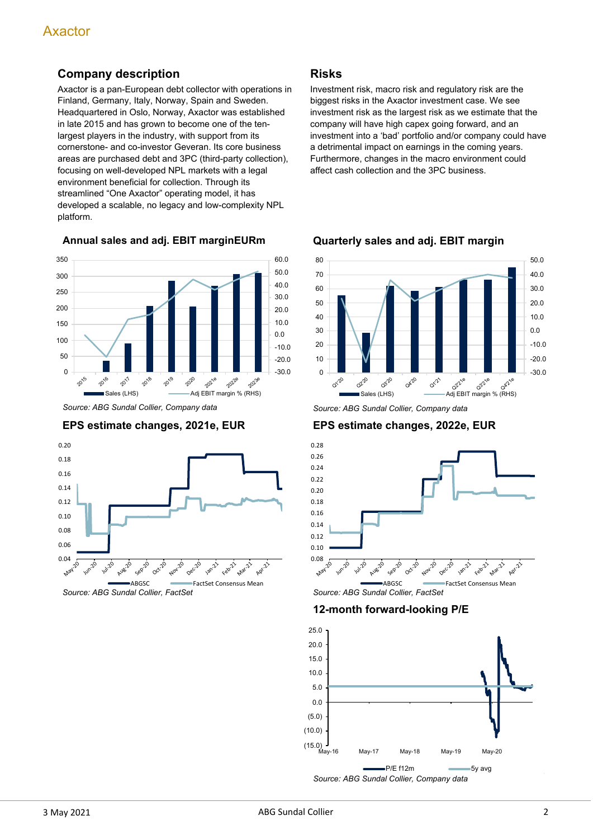# **Company description**

Axactor is a pan-European debt collector with operations in Finland, Germany, Italy, Norway, Spain and Sweden. Headquartered in Oslo, Norway, Axactor was established in late 2015 and has grown to become one of the tenlargest players in the industry, with support from its cornerstone- and co-investor Geveran. Its core business areas are purchased debt and 3PC (third-party collection), focusing on well-developed NPL markets with a legal environment beneficial for collection. Through its streamlined "One Axactor" operating model, it has developed a scalable, no legacy and low-complexity NPL platform.

**Annual sales and adj. EBIT marginEURm**



*Source: ABG Sundal Collier, Company data*





#### **Risks**

Investment risk, macro risk and regulatory risk are the biggest risks in the Axactor investment case. We see investment risk as the largest risk as we estimate that the company will have high capex going forward, and an investment into a 'bad' portfolio and/or company could have a detrimental impact on earnings in the coming years. Furthermore, changes in the macro environment could affect cash collection and the 3PC business.



**Quarterly sales and adj. EBIT margin**

**EPS estimate changes, 2022e, EUR**



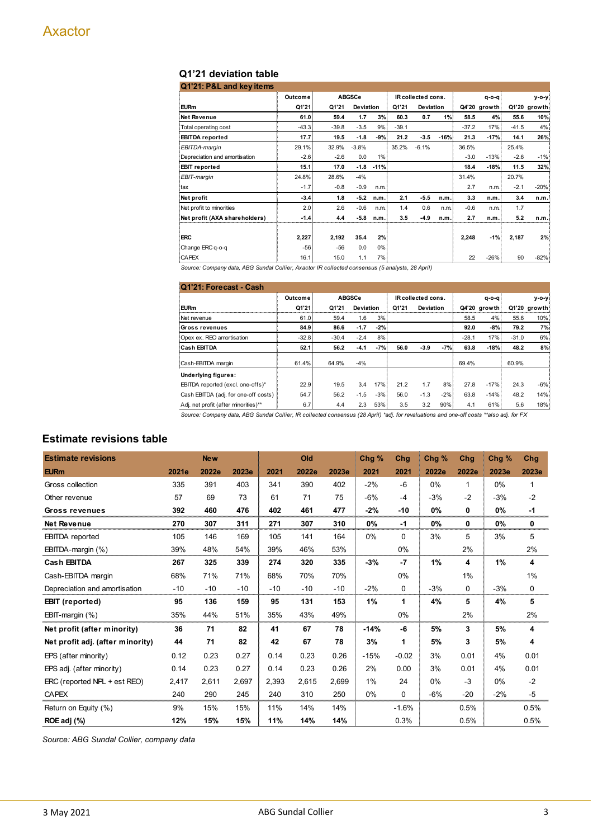# **Q1'21 deviation table**

| Q1'21: P&L and key items      |         |         |               |        |         |                    |        |         |              |         |              |
|-------------------------------|---------|---------|---------------|--------|---------|--------------------|--------|---------|--------------|---------|--------------|
|                               | Outcome |         | <b>ABGSCe</b> |        |         | IR collected cons. |        |         | $q - o - q$  |         | v-o-v≬       |
| <b>EURm</b>                   | Q1'21   | Q1'21   | Deviation     |        | Q1'21   | Deviation          |        |         | Q4'20 growth |         | Q1'20 growth |
| Net Revenue                   | 61.0    | 59.4    | 1.7           | 3%     | 60.3    | 0.7                | 1%     | 58.5    | 4%           | 55.6    | 10%          |
| Total operating cost          | $-43.3$ | $-39.8$ | $-3.5$        | 9%     | $-39.1$ |                    |        | $-37.2$ | 17%          | $-41.5$ | 4%           |
| <b>EBITDA</b> reported        | 17.7    | 19.5    | $-1.8$        | $-9%$  | 21.2    | $-3.5$             | $-16%$ | 21.3    | $-17%$       | 14.1    | 26%          |
| EBITDA-margin                 | 29.1%   | 32.9%   | $-3.8%$       |        | 35.2%   | $-6.1%$            |        | 36.5%   |              | 25.4%   |              |
| Depreciation and amortisation | $-2.6$  | $-2.6$  | 0.0           | 1%     |         |                    |        | $-3.0$  | $-13%$       | $-2.6$  | $-1%$        |
| <b>EBIT</b> reported          | 15.1    | 17.0    | $-1.8$        | $-11%$ |         |                    |        | 18.4    | $-18%$       | 11.5    | 32%          |
| EBIT-margin                   | 24.8%   | 28.6%   | $-4%$         |        |         |                    |        | 31.4%   |              | 20.7%   |              |
| tax                           | $-1.7$  | $-0.8$  | $-0.9$        | n.m.   |         |                    |        | 2.7     | n.m.         | $-2.1$  | $-20%$       |
| Net profit                    | $-3.4$  | 1.8     | $-5.2$        | n.m.   | 2.1     | $-5.5$             | n.m.   | 3.3     | n.m.         | 3.4     | n.m.         |
| Net profit to minorities      | 2.0     | 2.6     | $-0.6$        | n.m.   | 1.4     | 0.6                | n.m.   | $-0.6$  | n.m.         | 1.7     |              |
| Net profit (AXA shareholders) | $-1.4$  | 4.4     | $-5.8$        | n.m.   | 3.5     | $-4.9$             | n.m.   | 2.7     | n.m.         | 5.2     | n.m.         |
|                               |         |         |               |        |         |                    |        |         |              |         |              |
| <b>ERC</b>                    | 2,227   | 2,192   | 35.4          | 2%     |         |                    |        | 2,248   | $-1%$        | 2,187   | 2%           |
| Change ERC q-o-q              | $-56$   | -56     | 0.0           | $0\%$  |         |                    |        |         |              |         |              |
| <b>CAPEX</b>                  | 16.1    | 15.0    | 1.1           | 7%     |         |                    |        | 22      | $-26%$       | 90      | $-82%$       |
|                               |         |         |               |        |         |                    |        |         |              |         |              |

*Source: Company data, ABG Sundal Collier, Axactor IR collected consensus (5 analysts, 28 April)*

| Q1'21: Forecast - Cash               |         |         |               |       |                    |           |        |         |              |         |              |
|--------------------------------------|---------|---------|---------------|-------|--------------------|-----------|--------|---------|--------------|---------|--------------|
|                                      | Outcome |         | <b>ABGSCe</b> |       | IR collected cons. |           |        |         | $q - o - q$  |         | v-o-v∣       |
| <b>EURm</b>                          | Q1'21   | Q1'21   | Deviation     |       | Q1'21              | Deviation |        |         | Q4'20 growth |         | Q1'20 growth |
| Net revenue                          | 61.0    | 59.4    | 1.6           | 3%    |                    |           |        | 58.5    | 4%           | 55.6    | 10%          |
| <b>Gross revenues</b>                | 84.9    | 86.6    | $-1.7$        | $-2%$ |                    |           |        | 92.0    | $-8%$        | 79.2    | 7%           |
| Opex ex. REO amortisation            | $-32.8$ | $-30.4$ | $-2.4$        | 8%    |                    |           |        | $-28.1$ | 17%          | $-31.0$ | 6%           |
| Cash EBITDA                          | 52.1    | 56.2    | $-4.1$        | $-7%$ | 56.0               | $-3.9$    | -7%!   | 63.8    | $-18%$       | 48.2    | 8%           |
| Cash-EBITDA margin                   | 61.4%   | 64.9%   | $-4%$         |       |                    |           |        | 69.4%   |              | 60.9%   |              |
| Underlying figures:                  |         |         |               |       |                    |           |        |         |              |         |              |
| EBITDA reported (excl. one-offs)*    | 22.9    | 19.5    | 3.4           | 17%   | 21.2               | 1.7       | $8\%$  | 27.8    | $-17%$       | 24.3    | $-6%$        |
| Cash EBITDA (adj. for one-off costs) | 54.7    | 56.2    | $-1.5$        | $-3%$ | 56.0               | $-1.3$    | $-2\%$ | 63.8    | $-14%$       | 48.2    | 14%          |
| Adj. net profit (after minorities)** | 6.7     | 4.4     | 2.3           | 53%   | 3.5                | 3.2       | $90\%$ | 4.1     | 61%          | 5.6     | 18%          |

Source: Company data, ABG Sundal Collier, IR collected consensus (28 April) \*adj. for revaluations and one-off costs \*\*also adj. for FX

### **Estimate revisions table**

| <b>Estimate revisions</b>        |       | <b>New</b> |       |       | Old   |       | Chg%   | Chg      | Chg % | Chg      | Chg % | Chg   |
|----------------------------------|-------|------------|-------|-------|-------|-------|--------|----------|-------|----------|-------|-------|
| <b>EURm</b>                      | 2021e | 2022e      | 2023e | 2021  | 2022e | 2023e | 2021   | 2021     | 2022e | 2022e    | 2023e | 2023e |
| Gross collection                 | 335   | 391        | 403   | 341   | 390   | 402   | $-2%$  | $-6$     | $0\%$ | 1        | 0%    | 1     |
| Other revenue                    | 57    | 69         | 73    | 61    | 71    | 75    | $-6%$  | $-4$     | $-3%$ | $-2$     | $-3%$ | $-2$  |
| Gross revenues                   | 392   | 460        | 476   | 402   | 461   | 477   | $-2%$  | -10      | 0%    | 0        | 0%    | -1    |
| <b>Net Revenue</b>               | 270   | 307        | 311   | 271   | 307   | 310   | 0%     | $-1$     | 0%    | 0        | 0%    | 0     |
| <b>EBITDA</b> reported           | 105   | 146        | 169   | 105   | 141   | 164   | 0%     | $\Omega$ | 3%    | 5        | 3%    | 5     |
| EBITDA-margin (%)                | 39%   | 48%        | 54%   | 39%   | 46%   | 53%   |        | 0%       |       | 2%       |       | 2%    |
| <b>Cash EBITDA</b>               | 267   | 325        | 339   | 274   | 320   | 335   | $-3%$  | $-7$     | 1%    | 4        | 1%    | 4     |
| Cash-EBITDA margin               | 68%   | 71%        | 71%   | 68%   | 70%   | 70%   |        | $0\%$    |       | 1%       |       | 1%    |
| Depreciation and amortisation    | $-10$ | $-10$      | $-10$ | $-10$ | $-10$ | $-10$ | $-2%$  | $\Omega$ | $-3%$ | $\Omega$ | $-3%$ | 0     |
| <b>EBIT</b> (reported)           | 95    | 136        | 159   | 95    | 131   | 153   | 1%     | 1        | 4%    | 5        | 4%    | 5     |
| EBIT-margin (%)                  | 35%   | 44%        | 51%   | 35%   | 43%   | 49%   |        | 0%       |       | 2%       |       | 2%    |
| Net profit (after minority)      | 36    | 71         | 82    | 41    | 67    | 78    | $-14%$ | -6       | 5%    | 3        | 5%    | 4     |
| Net profit adj. (after minority) | 44    | 71         | 82    | 42    | 67    | 78    | 3%     | 1        | 5%    | 3        | 5%    | 4     |
| EPS (after minority)             | 0.12  | 0.23       | 0.27  | 0.14  | 0.23  | 0.26  | $-15%$ | $-0.02$  | 3%    | 0.01     | 4%    | 0.01  |
| EPS adj. (after minority)        | 0.14  | 0.23       | 0.27  | 0.14  | 0.23  | 0.26  | 2%     | 0.00     | 3%    | 0.01     | 4%    | 0.01  |
| ERC (reported NPL + est REO)     | 2.417 | 2,611      | 2,697 | 2,393 | 2,615 | 2,699 | 1%     | 24       | 0%    | $-3$     | 0%    | $-2$  |
| <b>CAPEX</b>                     | 240   | 290        | 245   | 240   | 310   | 250   | 0%     | $\Omega$ | $-6%$ | $-20$    | $-2%$ | -5    |
| Return on Equity (%)             | 9%    | 15%        | 15%   | 11%   | 14%   | 14%   |        | $-1.6%$  |       | 0.5%     |       | 0.5%  |
| ROE adj (%)                      | 12%   | 15%        | 15%   | 11%   | 14%   | 14%   |        | 0.3%     |       | 0.5%     |       | 0.5%  |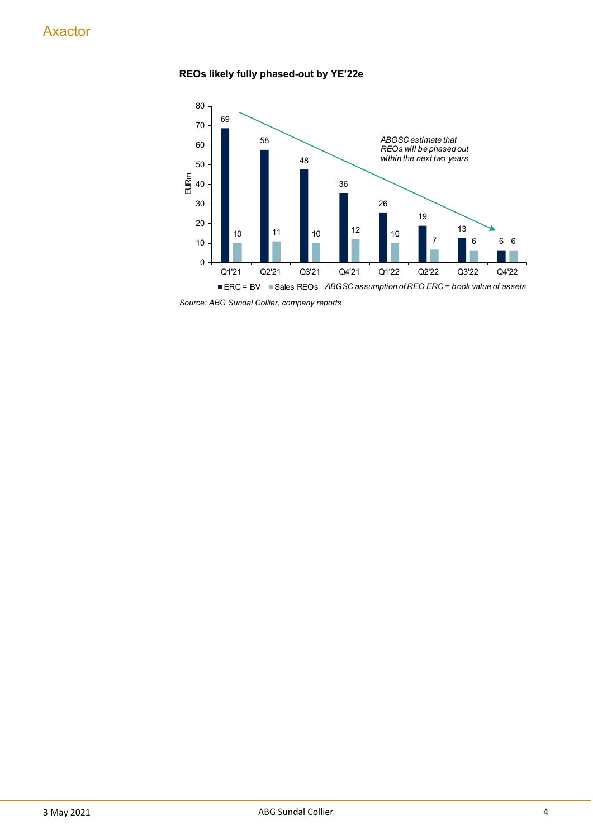#### **REOs likely fully phased-out by YE'22e**



*Source: ABG Sundal Collier, company reports*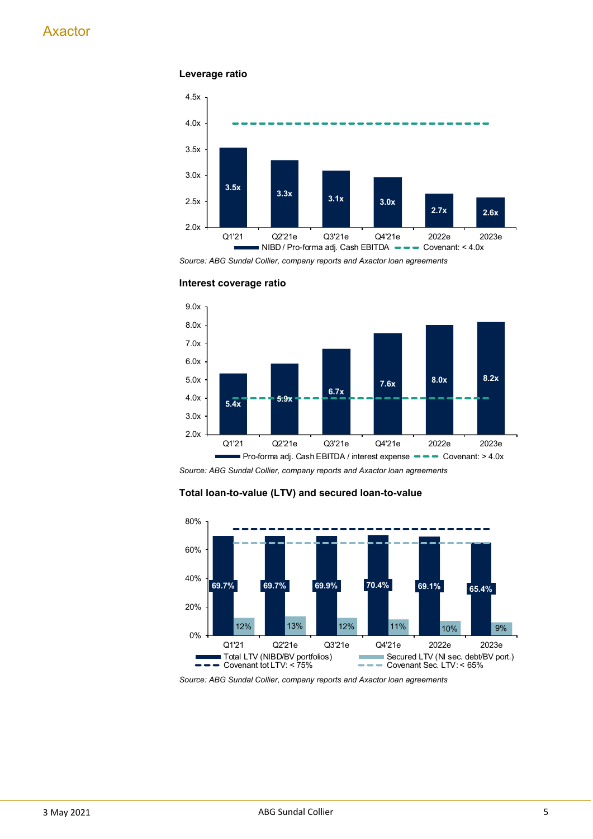#### **Leverage ratio**



*Source: ABG Sundal Collier, company reports and Axactor loan agreements*



**Interest coverage ratio**

*Source: ABG Sundal Collier, company reports and Axactor loan agreements*

#### **Total loan-to-value (LTV) and secured loan-to-value**



*Source: ABG Sundal Collier, company reports and Axactor loan agreements*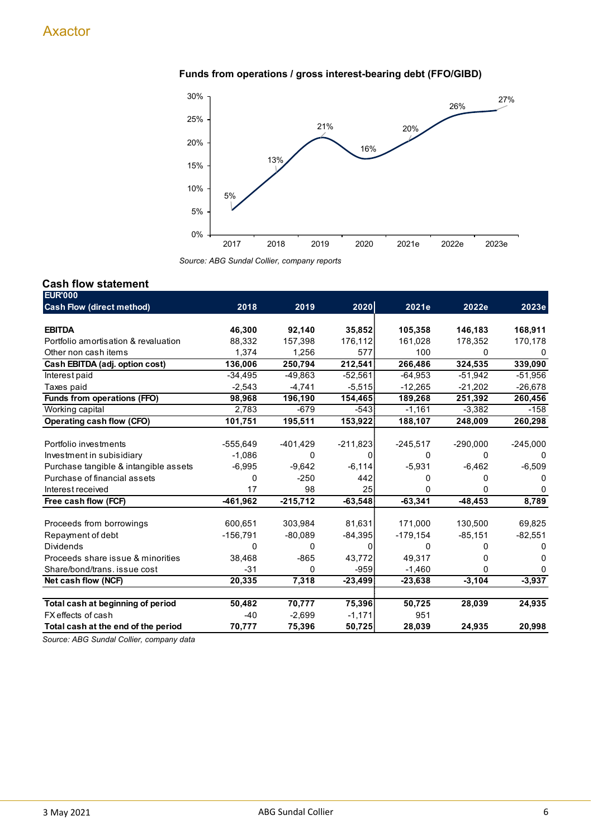#### **Funds from operations / gross interest-bearing debt (FFO/GIBD)**



*Source: ABG Sundal Collier, company reports*

### **Cash flow statement**

| <b>EUR'000</b>                        |            |            |            |             |            |              |
|---------------------------------------|------------|------------|------------|-------------|------------|--------------|
| <b>Cash Flow (direct method)</b>      | 2018       | 2019       | 2020       | 2021e       | 2022e      | 2023e        |
|                                       |            |            |            |             |            |              |
| <b>EBITDA</b>                         | 46,300     | 92,140     | 35,852     | 105,358     | 146,183    | 168,911      |
| Portfolio amortisation & revaluation  | 88,332     | 157,398    | 176,112    | 161,028     | 178,352    | 170,178      |
| Other non cash items                  | 1,374      | 1,256      | 577        | 100         | 0          |              |
| Cash EBITDA (adj. option cost)        | 136,006    | 250,794    | 212,541    | 266,486     | 324,535    | 339,090      |
| Interest paid                         | $-34,495$  | $-49,863$  | $-52,561$  | $-64,953$   | $-51,942$  | $-51,956$    |
| Taxes paid                            | $-2,543$   | $-4,741$   | $-5,515$   | $-12,265$   | $-21,202$  | $-26,678$    |
| Funds from operations (FFO)           | 98,968     | 196,190    | 154,465    | 189,268     | 251,392    | 260,456      |
| Working capital                       | 2,783      | $-679$     | $-543$     | $-1,161$    | $-3,382$   | $-158$       |
| Operating cash flow (CFO)             | 101,751    | 195,511    | 153,922    | 188,107     | 248,009    | 260,298      |
|                                       |            |            |            |             |            |              |
| Portfolio investments                 | $-555,649$ | $-401,429$ | $-211,823$ | $-245,517$  | $-290,000$ | $-245,000$   |
| Investment in subisidiary             | $-1,086$   | 0          | $\Omega$   | 0           | 0          | $\mathbf{0}$ |
| Purchase tangible & intangible assets | $-6,995$   | $-9,642$   | $-6,114$   | $-5,931$    | $-6,462$   | $-6,509$     |
| Purchase of financial assets          | $\Omega$   | $-250$     | 442        | U           | O          |              |
| Interest received                     | 17         | 98         | 25         | 0           | 0          |              |
| Free cash flow (FCF)                  | $-461,962$ | $-215,712$ | $-63,548$  | $-63,341$   | $-48, 453$ | 8,789        |
|                                       |            |            |            |             |            |              |
| Proceeds from borrowings              | 600,651    | 303,984    | 81,631     | 171,000     | 130,500    | 69,825       |
| Repayment of debt                     | $-156,791$ | $-80,089$  | $-84,395$  | $-179, 154$ | $-85,151$  | $-82,551$    |
| <b>Dividends</b>                      | 0          | 0          | 0          | 0           | O          | 0            |
| Proceeds share issue & minorities     | 38,468     | $-865$     | 43,772     | 49,317      | U          | U            |
| Share/bond/trans. issue cost          | $-31$      | $\Omega$   | $-959$     | $-1,460$    | 0          | 0            |
| Net cash flow (NCF)                   | 20,335     | 7,318      | $-23,499$  | $-23,638$   | $-3,104$   | $-3,937$     |
|                                       |            |            |            |             |            |              |
| Total cash at beginning of period     | 50,482     | 70,777     | 75,396     | 50,725      | 28,039     | 24,935       |
| FX effects of cash                    | $-40$      | $-2,699$   | $-1,171$   | 951         |            |              |
| Total cash at the end of the period   | 70,777     | 75,396     | 50,725     | 28,039      | 24,935     | 20,998       |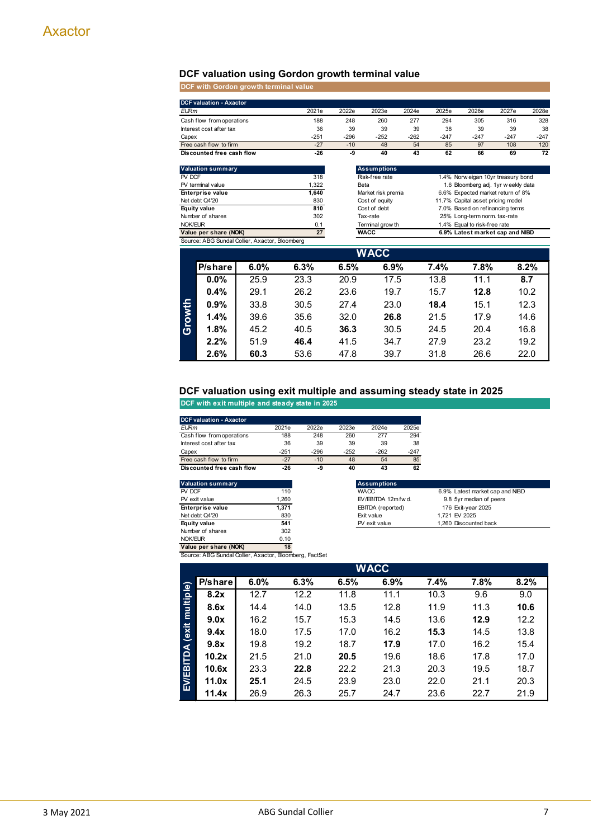#### **DCF valuation using Gordon growth terminal value**

**DCF with Gordon growth terminal value**

|             | <b>DCF valuation - Axactor</b>     |                                                |              |                                      |                    |        |        |                                                                        |        |        |  |
|-------------|------------------------------------|------------------------------------------------|--------------|--------------------------------------|--------------------|--------|--------|------------------------------------------------------------------------|--------|--------|--|
| <b>EURm</b> |                                    |                                                | 2021e        | 2022e                                | 2023e              | 2024e  | 2025e  | 2026e                                                                  | 2027e  | 2028e  |  |
|             | Cash flow from operations          |                                                | 188          | 248                                  | 260                | 277    | 294    | 305                                                                    | 316    | 328    |  |
|             | Interest cost after tax            |                                                | 36           | 39                                   | 39                 | 39     | 38     | 39                                                                     | 39     | 38     |  |
| Capex       |                                    |                                                | $-251$       | $-296$                               | $-252$             | $-262$ | $-247$ | $-247$                                                                 | $-247$ | $-247$ |  |
|             | Free cash flow to firm             |                                                | $-27$        | $-10$                                | 48                 | 54     | 85     | 97                                                                     | 108    | 120    |  |
|             | Discounted free cash flow          |                                                | $-26$        | -9                                   | 40                 | 43     | 62     | 66                                                                     | 69     | 72     |  |
|             | <b>Valuation summary</b>           |                                                |              |                                      | <b>Assumptions</b> |        |        |                                                                        |        |        |  |
| PV DCF      |                                    |                                                | 318          |                                      | Risk-free rate     |        |        | 1.4% Norw eigan 10yr treasury bond                                     |        |        |  |
|             | PV terminal value                  |                                                | 1,322        |                                      | Beta               |        |        | 1.6 Bloomberg adj. 1yr w eekly data                                    |        |        |  |
|             | Enterprise value<br>Net debt Q4'20 |                                                | 1,640<br>830 | Market risk premia<br>Cost of equity |                    |        |        | 6.6% Expected market return of 8%<br>11.7% Capital asset pricing model |        |        |  |
|             | Equity value                       |                                                | 810          | Cost of debt                         |                    |        |        | 7.0% Based on refinancing terms                                        |        |        |  |
|             | Number of shares                   |                                                | 302          | Tax-rate                             |                    |        |        | 25% Long-term norm. tax-rate                                           |        |        |  |
| NOK/EUR     |                                    |                                                | 0.1          | Terminal grow th                     |                    |        |        | 1.4% Equal to risk-free rate                                           |        |        |  |
|             | Value per share (NOK)              |                                                | 27           | <b>WACC</b>                          |                    |        |        | 6.9% Latest market cap and NIBD                                        |        |        |  |
|             |                                    | Source: ABG Sundal Collier, Axactor, Bloomberg |              |                                      |                    |        |        |                                                                        |        |        |  |
|             |                                    |                                                |              |                                      | <b>WACC</b>        |        |        |                                                                        |        |        |  |
|             | P/share                            | 6.0%                                           | 6.3%         | 6.5%                                 | 6.9%               |        | 7.4%   | 7.8%                                                                   |        | 8.2%   |  |
|             | $0.0\%$                            | 25.9                                           | 23.3         | 20.9                                 | 17.5               |        | 13.8   | 11.1                                                                   |        | 8.7    |  |
|             | 0.4%                               | 29.1                                           | 26.2         | 23.6                                 | 19.7               |        | 15.7   | 12.8                                                                   |        | 10.2   |  |
|             | $0.9\%$                            | 33.8                                           | 30.5         | 27.4                                 | 23.0               |        | 18.4   | 15.1                                                                   |        | 12.3   |  |
| Growth      | 1.4%                               | 39.6                                           | 35.6         | 32.0                                 | 26.8               |        | 21.5   | 17.9                                                                   |        | 14.6   |  |
|             | 1.8%                               | 45.2                                           | 40.5         | 36.3                                 | 30.5               |        | 24.5   | 20.4                                                                   |        | 16.8   |  |
|             | 2.2%                               | 51.9                                           | 46.4         | 41.5                                 | 34.7               |        | 27.9   | 23.2                                                                   |        | 19.2   |  |
|             | 2.6%                               | 60.3                                           | 53.6         | 47.8                                 | 39.7               |        | 31.8   | 26.6                                                                   |        | 22.0   |  |

#### **DCF valuation using exit multiple and assuming steady state in 2025**

**DCF with exit multiple and steady state in 2025**

| <b>DCF valuation - Axactor</b> |        |        |        |        |       |
|--------------------------------|--------|--------|--------|--------|-------|
| <b>EURm</b>                    | 2021e  | 2022e  | 2023e  | 2024e  | 2025e |
| Cash flow from operations      | 188    | 248    | 260    | 277    | 294   |
| Interest cost after tax        | 36     | 39     | 39     | 39     | 38    |
| Capex                          | $-251$ | $-296$ | $-252$ | $-262$ | -247  |
| Free cash flow to firm         | $-27$  | $-10$  | 48     | 54     | 85    |
| Discounted free cash flow      | -26    | -9     | 40     | 43     | 62    |

| Valuation summary       |       | <b>Assumptions</b>      |
|-------------------------|-------|-------------------------|
| PV DCF                  | 110   | <b>WACC</b>             |
| PV exit value           | 1.260 | EV/EBITDA 12m           |
| <b>Enterprise value</b> | 1.371 | <b>EBITDA</b> (reporter |
| Net debt Q4'20          | 830   | Exit value              |
| <b>Equity value</b>     | 541   | PV exit value           |
| Number of shares        | 302   |                         |
| NOK/EUR                 | 0.10  |                         |
| Value per share (NOK)   | 18    |                         |

| Valuation summary |       | <b>Assumptions</b>  |                                 |
|-------------------|-------|---------------------|---------------------------------|
| PV DCF            | 110   | <b>WACC</b>         | 6.9% Latest market cap and NIBD |
| PV exit value     | 1.260 | EV/EBITDA 12m fw d. | 9.8 5yr median of peers         |
| Enterprise value  | 1.371 | EBITDA (reported)   | 176 Exit-year 2025              |
| Net debt Q4'20    | 830   | Exit value          | 1.721 EV 2025                   |
| Equity value      | 541   | PV exit value       | 1.260 Discounted back           |
| Number of shares  | 302   |                     |                                 |

Source: ABG Sundal Collier, Axactor, Bloomberg, FactSet

| <b>WACC</b>     |         |      |      |      |      |      |      |      |  |  |  |  |
|-----------------|---------|------|------|------|------|------|------|------|--|--|--|--|
|                 | P/share | 6.0% | 6.3% | 6.5% | 6.9% | 7.4% | 7.8% | 8.2% |  |  |  |  |
| multiple)       | 8.2x    | 12.7 | 12.2 | 11.8 | 11.1 | 10.3 | 9.6  | 9.0  |  |  |  |  |
|                 | 8.6x    | 14.4 | 14.0 | 13.5 | 12.8 | 11.9 | 11.3 | 10.6 |  |  |  |  |
|                 | 9.0x    | 16.2 | 15.7 | 15.3 | 14.5 | 13.6 | 12.9 | 12.2 |  |  |  |  |
|                 | 9.4x    | 18.0 | 17.5 | 17.0 | 16.2 | 15.3 | 14.5 | 13.8 |  |  |  |  |
|                 | 9.8x    | 19.8 | 19.2 | 18.7 | 17.9 | 17.0 | 16.2 | 15.4 |  |  |  |  |
| EV/EBITDA (exit | 10.2x   | 21.5 | 21.0 | 20.5 | 19.6 | 18.6 | 17.8 | 17.0 |  |  |  |  |
|                 | 10.6x   | 23.3 | 22.8 | 22.2 | 21.3 | 20.3 | 19.5 | 18.7 |  |  |  |  |
|                 | 11.0x   | 25.1 | 24.5 | 23.9 | 23.0 | 22.0 | 21.1 | 20.3 |  |  |  |  |
|                 | 11.4x   | 26.9 | 26.3 | 25.7 | 24.7 | 23.6 | 22.7 | 21.9 |  |  |  |  |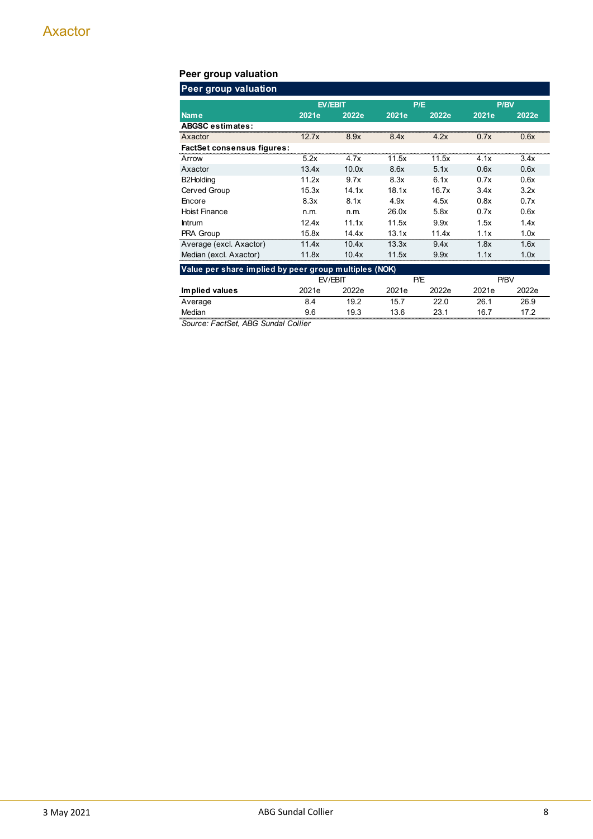# **Peer group valuation**

| <b>Peer group valuation</b>                           |       |         |       |       |       |       |  |  |  |  |  |
|-------------------------------------------------------|-------|---------|-------|-------|-------|-------|--|--|--|--|--|
|                                                       |       | EV/EBIT |       | P/E   | P/BV  |       |  |  |  |  |  |
| Name                                                  | 2021e | 2022e   | 2021e | 2022e | 2021e | 2022e |  |  |  |  |  |
| <b>ABGSC estimates:</b>                               |       |         |       |       |       |       |  |  |  |  |  |
| Axactor                                               | 12.7x | 8.9x    | 8.4x  | 4.2x  | 0.7x  | 0.6x  |  |  |  |  |  |
| <b>FactSet consensus figures:</b>                     |       |         |       |       |       |       |  |  |  |  |  |
| Arrow                                                 | 5.2x  | 4.7x    | 11.5x | 11.5x | 4.1x  | 3.4x  |  |  |  |  |  |
| Axactor                                               | 13.4x | 10.0x   | 8.6x  | 5.1x  | 0.6x  | 0.6x  |  |  |  |  |  |
| B2Holding                                             | 11.2x | 9.7x    | 8.3x  | 6.1x  | 0.7x  | 0.6x  |  |  |  |  |  |
| Cerved Group                                          | 15.3x | 14.1x   | 18.1x | 16.7x | 3.4x  | 3.2x  |  |  |  |  |  |
| Encore                                                | 8.3x  | 8.1x    | 4.9x  | 4.5x  | 0.8x  | 0.7x  |  |  |  |  |  |
| <b>Hoist Finance</b>                                  | n.m.  | n.m.    | 26.0x | 5.8x  | 0.7x  | 0.6x  |  |  |  |  |  |
| <b>Intrum</b>                                         | 12.4x | 11.1x   | 11.5x | 9.9x  | 1.5x  | 1.4x  |  |  |  |  |  |
| PRA Group                                             | 15.8x | 14.4x   | 13.1x | 11.4x | 1.1x  | 1.0x  |  |  |  |  |  |
| Average (excl. Axactor)                               | 11.4x | 10.4x   | 13.3x | 9.4x  | 1.8x  | 1.6x  |  |  |  |  |  |
| Median (excl. Axactor)                                | 11.8x | 10.4x   | 11.5x | 9.9x  | 1.1x  | 1.0x  |  |  |  |  |  |
| Value per share implied by peer group multiples (NOK) |       |         |       |       |       |       |  |  |  |  |  |
|                                                       |       | EV/EBIT |       | P/E   |       | P/BV  |  |  |  |  |  |
| Implied values                                        | 2021e | 2022e   | 2021e | 2022e | 2021e | 2022e |  |  |  |  |  |
| Average                                               | 8.4   | 19.2    | 15.7  | 22.0  | 26.1  | 26.9  |  |  |  |  |  |
| Median                                                | 9.6   | 19.3    | 13.6  | 23.1  | 16.7  | 17.2  |  |  |  |  |  |
| Source: FactSet, ABG Sundal Collier                   |       |         |       |       |       |       |  |  |  |  |  |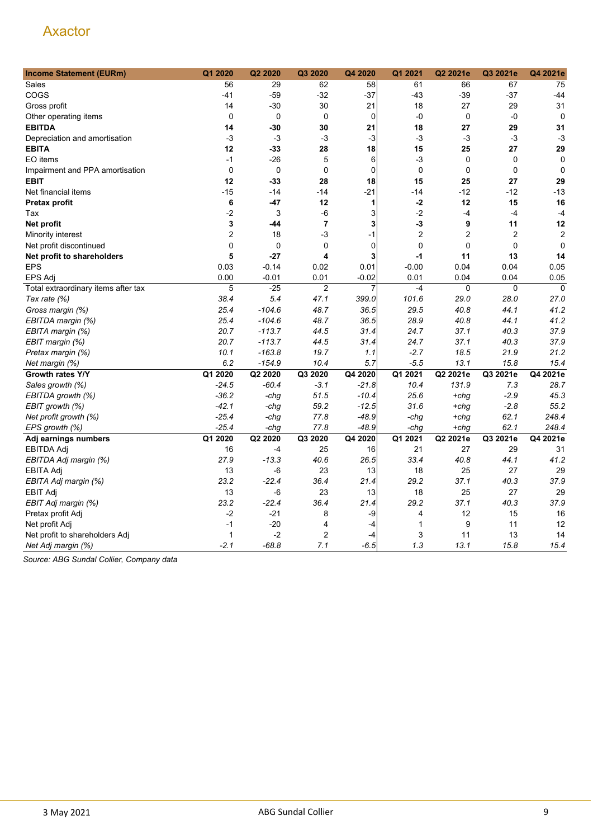| <b>Income Statement (EURm)</b>      | Q1 2020        | Q2 2020     | Q3 2020        | Q4 2020     | Q1 2021        | Q2 2021e       | Q3 2021e       | Q4 2021e       |
|-------------------------------------|----------------|-------------|----------------|-------------|----------------|----------------|----------------|----------------|
| Sales                               | 56             | 29          | 62             | 58          | 61             | 66             | 67             | 75             |
| COGS                                | $-41$          | $-59$       | $-32$          | $-37$       | $-43$          | $-39$          | $-37$          | $-44$          |
| Gross profit                        | 14             | $-30$       | 30             | 21          | 18             | 27             | 29             | 31             |
| Other operating items               | $\mathbf 0$    | $\mathbf 0$ | $\mathbf 0$    | $\mathbf 0$ | -0             | $\mathbf 0$    | -0             | $\mathbf 0$    |
| <b>EBITDA</b>                       | 14             | -30         | 30             | 21          | 18             | 27             | 29             | 31             |
| Depreciation and amortisation       | $-3$           | -3          | -3             | $-3$        | $-3$           | -3             | $-3$           | $-3$           |
| <b>EBITA</b>                        | 12             | -33         | 28             | 18          | 15             | 25             | 27             | 29             |
| EO items                            | $-1$           | $-26$       | 5              | 6           | -3             | $\mathbf 0$    | $\mathbf 0$    | $\mathbf 0$    |
| Impairment and PPA amortisation     | 0              | 0           | 0              | $\mathbf 0$ | $\mathbf 0$    | $\mathbf 0$    | $\mathbf 0$    | $\mathbf 0$    |
| <b>EBIT</b>                         | 12             | $-33$       | 28             | 18          | 15             | 25             | 27             | 29             |
| Net financial items                 | $-15$          | $-14$       | $-14$          | $-21$       | $-14$          | $-12$          | $-12$          | $-13$          |
| Pretax profit                       | 6              | -47         | 12             | 1           | $-2$           | 12             | 15             | 16             |
| Tax                                 | $-2$           | 3           | $-6$           | 3           | $-2$           | $-4$           | $-4$           | $-4$           |
| Net profit                          | 3              | -44         | $\overline{7}$ | 3           | $-3$           | 9              | 11             | 12             |
| Minority interest                   | $\overline{2}$ | 18          | -3             | $-1$        | $\overline{2}$ | $\overline{2}$ | $\overline{2}$ | $\overline{2}$ |
| Net profit discontinued             | 0              | $\mathbf 0$ | 0              | $\mathbf 0$ | 0              | 0              | $\mathbf 0$    | $\mathbf 0$    |
| Net profit to shareholders          | 5              | $-27$       | 4              | 3           | $-1$           | 11             | 13             | 14             |
| <b>EPS</b>                          | 0.03           | $-0.14$     | 0.02           | 0.01        | $-0.00$        | 0.04           | 0.04           | 0.05           |
| <b>EPS Adj</b>                      | 0.00           | $-0.01$     | 0.01           | $-0.02$     | 0.01           | 0.04           | 0.04           | 0.05           |
| Total extraordinary items after tax | 5              | $-25$       | $\overline{2}$ | 7           | $-4$           | 0              | $\mathbf 0$    | $\mathbf 0$    |
| Tax rate (%)                        | 38.4           | 5.4         | 47.1           | 399.0       | 101.6          | 29.0           | 28.0           | 27.0           |
| Gross margin (%)                    | 25.4           | $-104.6$    | 48.7           | 36.5        | 29.5           | 40.8           | 44.1           | 41.2           |
| EBITDA margin (%)                   | 25.4           | $-104.6$    | 48.7           | 36.5        | 28.9           | 40.8           | 44.1           | 41.2           |
| EBITA margin (%)                    | 20.7           | $-113.7$    | 44.5           | 31.4        | 24.7           | 37.1           | 40.3           | 37.9           |
| EBIT margin (%)                     | 20.7           | $-113.7$    | 44.5           | 31.4        | 24.7           | 37.1           | 40.3           | 37.9           |
| Pretax margin (%)                   | 10.1           | $-163.8$    | 19.7           | 1.1         | $-2.7$         | 18.5           | 21.9           | 21.2           |
| Net margin (%)                      | 6.2            | $-154.9$    | 10.4           | 5.7         | $-5.5$         | 13.1           | 15.8           | 15.4           |
| Growth rates Y/Y                    | Q1 2020        | Q2 2020     | Q3 2020        | Q4 2020     | Q1 2021        | Q2 2021e       | Q3 2021e       | Q4 2021e       |
| Sales growth (%)                    | $-24.5$        | $-60.4$     | $-3.1$         | -21.8       | 10.4           | 131.9          | 7.3            | 28.7           |
| EBITDA growth (%)                   | $-36.2$        | -chg        | 51.5           | $-10.4$     | 25.6           | $+chg$         | $-2.9$         | 45.3           |
| EBIT growth (%)                     | $-42.1$        | $-chg$      | 59.2           | $-12.5$     | 31.6           | $+chg$         | $-2.8$         | 55.2           |
| Net profit growth (%)               | $-25.4$        | -chg        | 77.8           | -48.9       | -chg           | $+chq$         | 62.1           | 248.4          |
| EPS growth (%)                      | $-25.4$        | -chg        | 77.8           | $-48.9$     | -chg           | $+chq$         | 62.1           | 248.4          |
| Adj earnings numbers                | Q1 2020        | Q2 2020     | Q3 2020        | Q4 2020     | Q1 2021        | Q2 2021e       | Q3 2021e       | Q4 2021e       |
| EBITDA Adj                          | 16             | -4          | 25             | 16          | 21             | 27             | 29             | 31             |
| EBITDA Adj margin (%)               | 27.9           | $-13.3$     | 40.6           | 26.5        | 33.4           | 40.8           | 44.1           | 41.2           |
| <b>EBITA Adj</b>                    | 13             | -6          | 23             | 13          | 18             | 25             | 27             | 29             |
| EBITA Adj margin (%)                | 23.2           | $-22.4$     | 36.4           | 21.4        | 29.2           | 37.1           | 40.3           | 37.9           |
| <b>EBIT Adj</b>                     | 13             | -6          | 23             | 13          | 18             | 25             | 27             | 29             |
| EBIT Adj margin (%)                 | 23.2           | $-22.4$     | 36.4           | 21.4        | 29.2           | 37.1           | 40.3           | 37.9           |
| Pretax profit Adj                   | -2             | $-21$       | 8              | -9          | 4              | 12             | 15             | 16             |
| Net profit Adj                      | $-1$           | $-20$       | $\overline{4}$ | $-4$        | 1              | 9              | 11             | 12             |
| Net profit to shareholders Adj      | $\mathbf{1}$   | $-2$        | $\overline{2}$ | -4          | 3              | 11             | 13             | 14             |
| Net Adj margin (%)                  | $-2.1$         | $-68.8$     | 7.1            | $-6.5$      | 1.3            | 13.1           | 15.8           | 15.4           |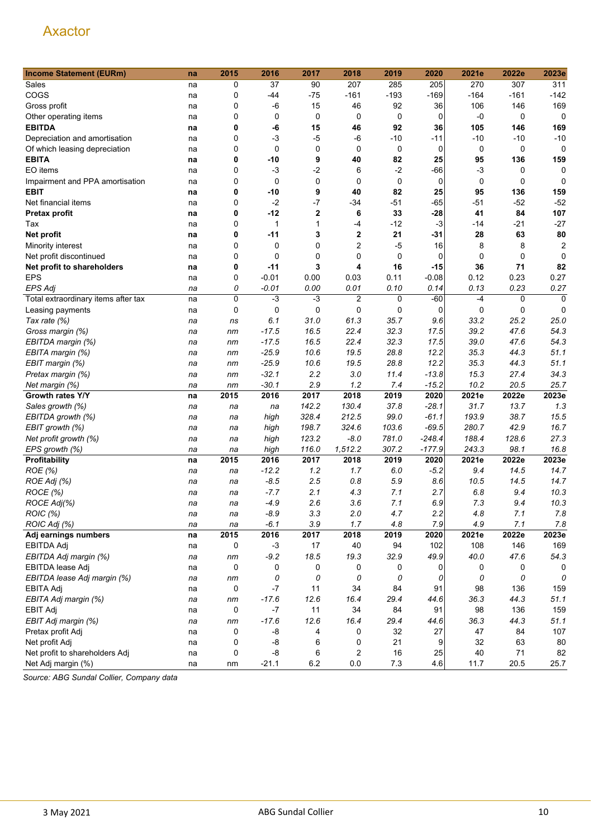| <b>Income Statement (EURm)</b>      | na | 2015        | 2016        | 2017             | 2018           | 2019        | 2020        | 2021e  | 2022e       | 2023e          |
|-------------------------------------|----|-------------|-------------|------------------|----------------|-------------|-------------|--------|-------------|----------------|
| Sales                               | na | 0           | 37          | 90               | 207            | 285         | 205         | 270    | 307         | 311            |
| COGS                                | na | 0           | -44         | $-75$            | $-161$         | $-193$      | $-169$      | $-164$ | $-161$      | $-142$         |
| Gross profit                        | na | 0           | $-6$        | 15               | 46             | 92          | 36          | 106    | 146         | 169            |
| Other operating items               | na | $\mathbf 0$ | 0           | 0                | 0              | 0           | 0           | $-0$   | 0           | 0              |
| <b>EBITDA</b>                       | na | 0           | -6          | 15               | 46             | 92          | 36          | 105    | 146         | 169            |
| Depreciation and amortisation       | na | 0           | -3          | $-5$             | $-6$           | $-10$       | -11         | $-10$  | $-10$       | $-10$          |
| Of which leasing depreciation       | na | 0           | $\mathbf 0$ | 0                | 0              | 0           | 0           | 0      | 0           | 0              |
| <b>EBITA</b>                        | na | 0           | -10         | 9                | 40             | 82          | 25          | 95     | 136         | 159            |
| EO items                            | na | $\mathbf 0$ | $-3$        | $-2$             | 6              | $-2$        | $-66$       | -3     | 0           | 0              |
| Impairment and PPA amortisation     | na | 0           | 0           | 0                | $\mathbf 0$    | $\mathbf 0$ | $\mathbf 0$ | 0      | $\mathbf 0$ | $\mathbf 0$    |
| <b>EBIT</b>                         | na | 0           | -10         | 9                | 40             | 82          | 25          | 95     | 136         | 159            |
| Net financial items                 | na | 0           | $-2$        | $-7$             | $-34$          | $-51$       | -65         | $-51$  | $-52$       | $-52$          |
| Pretax profit                       | na | 0           | $-12$       | $\boldsymbol{2}$ | 6              | 33          | $-28$       | 41     | 84          | 107            |
| Tax                                 | na | $\mathbf 0$ | 1           | 1                | -4             | $-12$       | $-3$        | -14    | $-21$       | $-27$          |
| Net profit                          | na | 0           | -11         | 3                | $\mathbf 2$    | 21          | $-31$       | 28     | 63          | 80             |
| Minority interest                   | na | 0           | 0           | 0                | 2              | $-5$        | 16          | 8      | 8           | $\overline{2}$ |
| Net profit discontinued             | na | 0           | 0           | 0                | 0              | 0           | 0           | 0      | 0           | $\Omega$       |
| Net profit to shareholders          | na | 0           | $-11$       | 3                | 4              | 16          | -15         | 36     | 71          | 82             |
| <b>EPS</b>                          | na | 0           | $-0.01$     | 0.00             | 0.03           | 0.11        | $-0.08$     | 0.12   | 0.23        | 0.27           |
| <b>EPS Adj</b>                      | na | 0           | $-0.01$     | 0.00             | 0.01           | 0.10        | 0.14        | 0.13   | 0.23        | 0.27           |
| Total extraordinary items after tax | na | 0           | $-3$        | $-3$             | $\overline{2}$ | 0           | $-60$       | $-4$   | 0           | $\mathbf 0$    |
| Leasing payments                    | na | 0           | 0           | 0                | 0              | 0           | 0           | 0      | 0           | 0              |
| Tax rate (%)                        | na | ns          | 6.1         | 31.0             | 61.3           | 35.7        | 9.6         | 33.2   | 25.2        | 25.0           |
| Gross margin (%)                    | na | nm          | $-17.5$     | 16.5             | 22.4           | 32.3        | 17.5        | 39.2   | 47.6        | 54.3           |
| EBITDA margin (%)                   | na | nm          | $-17.5$     | 16.5             | 22.4           | 32.3        | 17.5        | 39.0   | 47.6        | 54.3           |
| EBITA margin (%)                    | na | nm          | $-25.9$     | 10.6             | 19.5           | 28.8        | 12.2        | 35.3   | 44.3        | 51.1           |
| EBIT margin (%)                     | na | nm          | $-25.9$     | 10.6             | 19.5           | 28.8        | 12.2        | 35.3   | 44.3        | 51.1           |
| Pretax margin (%)                   | na | nm          | $-32.1$     | 2.2              | 3.0            | 11.4        | $-13.8$     | 15.3   | 27.4        | 34.3           |
| Net margin (%)                      | na | nm          | $-30.1$     | 2.9              | 1.2            | 7.4         | $-15.2$     | 10.2   | 20.5        | 25.7           |
| Growth rates Y/Y                    | na | 2015        | 2016        | 2017             | 2018           | 2019        | 2020        | 2021e  | 2022e       | 2023e          |
| Sales growth (%)                    | na | na          | na          | 142.2            | 130.4          | 37.8        | $-28.1$     | 31.7   | 13.7        | 1.3            |
| EBITDA growth (%)                   | na | na          | high        | 328.4            | 212.5          | 99.0        | $-61.1$     | 193.9  | 38.7        | 15.5           |
| EBIT growth (%)                     | na | na          | high        | 198.7            | 324.6          | 103.6       | $-69.5$     | 280.7  | 42.9        | 16.7           |
| Net profit growth (%)               | na | na          | high        | 123.2            | $-8.0$         | 781.0       | $-248.4$    | 188.4  | 128.6       | 27.3           |
| EPS growth (%)                      | na | na          | high        | 116.0            | 1,512.2        | 307.2       | $-177.9$    | 243.3  | 98.1        | 16.8           |
| Profitability                       | na | 2015        | 2016        | 2017             | 2018           | 2019        | 2020        | 2021e  | 2022e       | 2023e          |
| ROE (%)                             | na | na          | $-12.2$     | 1.2              | 1.7            | 6.0         | $-5.2$      | 9.4    | 14.5        | 14.7           |
| ROE Adj (%)                         | na | na          | $-8.5$      | 2.5              | 0.8            | 5.9         | 8.6         | 10.5   | 14.5        | 14.7           |
| ROCE (%)                            | na | na          | $-7.7$      | 2.1              | 4.3            | 7.1         | 2.7         | 6.8    | 9.4         | 10.3           |
| ROCE Adj(%)                         | na | na          | $-4.9$      | 2.6              | 3.6            | 7.1         | 6.9         | 7.3    | 9.4         | 10.3           |
| ROIC (%)                            | na | na          | $-8.9$      | 3.3              | 2.0            | 4.7         | 2.2         | 4.8    | 7.1         | 7.8            |
| ROIC Adj (%)                        | na | na          | $-6.1$      | 3.9              | 1.7            | 4.8         | 7.9         | 4.9    | 7.1         | 7.8            |
| Adj earnings numbers                | na | 2015        | 2016        | 2017             | 2018           | 2019        | 2020        | 2021e  | 2022e       | 2023e          |
| EBITDA Adj                          | na | 0           | $-3$        | 17               | 40             | 94          | 102         | 108    | 146         | 169            |
| EBITDA Adj margin (%)               | na | nm          | $-9.2$      | 18.5             | 19.3           | 32.9        | 49.9        | 40.0   | 47.6        | 54.3           |
| EBITDA lease Adj                    | na | 0           | 0           | $\mathbf 0$      | 0              | 0           | 0           | 0      | 0           | 0              |
| EBITDA lease Adj margin (%)         | na | nm          | 0           | 0                | 0              | 0           | 0           | 0      | 0           | 0              |
| EBITA Adj                           | na | 0           | -7          | 11               | 34             | 84          | 91          | 98     | 136         | 159            |
| EBITA Adj margin (%)                | na | nm          | $-17.6$     | 12.6             | 16.4           | 29.4        | 44.6        | 36.3   | 44.3        | 51.1           |
| <b>EBIT Adj</b>                     | na | 0           | $-7$        | 11               | 34             | 84          | 91          | 98     | 136         | 159            |
| EBIT Adj margin (%)                 | na | nm          | $-17.6$     | 12.6             | 16.4           | 29.4        | 44.6        | 36.3   | 44.3        | 51.1           |
| Pretax profit Adj                   | na | 0           | -8          | 4                | 0              | 32          | 27          | 47     | 84          | 107            |
| Net profit Adj                      | na | 0           | -8          | 6                | 0              | 21          | 9           | 32     | 63          | 80             |
| Net profit to shareholders Adj      | na | 0           | -8          | 6                | 2              | 16          | 25          | 40     | 71          | 82             |
| Net Adj margin (%)                  | na | nm          | $-21.1$     | $6.2\,$          | $0.0\,$        | $7.3$       | 4.6         | 11.7   | 20.5        | 25.7           |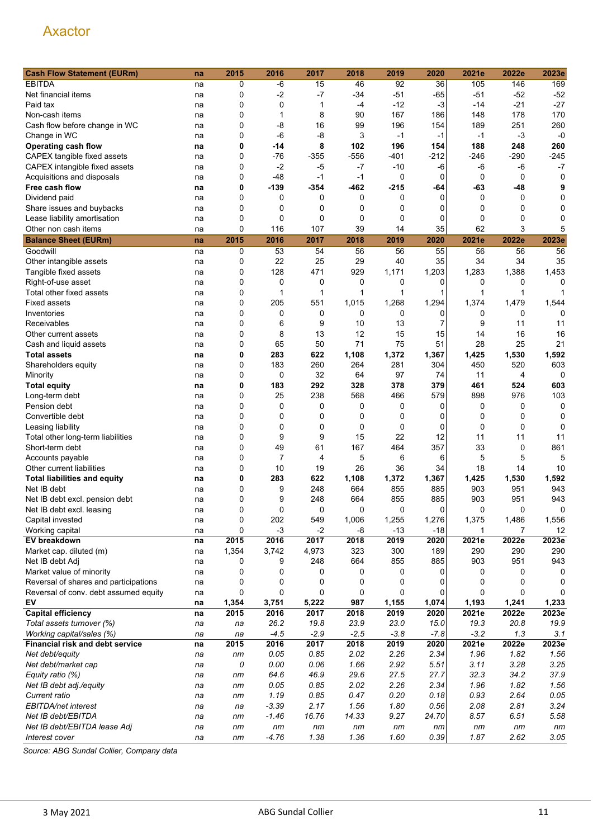| <b>Cash Flow Statement (EURm)</b>     | na | 2015     | 2016        | 2017   | 2018   | 2019   | 2020           | 2021e        | 2022e       | 2023e       |
|---------------------------------------|----|----------|-------------|--------|--------|--------|----------------|--------------|-------------|-------------|
| <b>EBITDA</b>                         | na | 0        | -6          | 15     | 46     | 92     | 36             | 105          | 146         | 169         |
| Net financial items                   | na | 0        | $-2$        | $-7$   | $-34$  | $-51$  | $-65$          | $-51$        | $-52$       | $-52$       |
| Paid tax                              | na | 0        | 0           | 1      | -4     | $-12$  | $-3$           | -14          | $-21$       | $-27$       |
| Non-cash items                        | na | 0        | 1           | 8      | 90     | 167    | 186            | 148          | 178         | 170         |
| Cash flow before change in WC         | na | 0        | $-8$        | 16     | 99     | 196    | 154            | 189          | 251         | 260         |
| Change in WC                          | na | 0        | -6          | $-8$   | 3      | $-1$   | $-1$           | $-1$         | $-3$        | $-0$        |
| Operating cash flow                   | na | 0        | -14         | 8      | 102    | 196    | 154            | 188          | 248         | 260         |
| CAPEX tangible fixed assets           | na | 0        | -76         | $-355$ | $-556$ | -401   | $-212$         | -246         | -290        | $-245$      |
| CAPEX intangible fixed assets         | na | 0        | $-2$        | -5     | $-7$   | $-10$  | -6             | -6           | $-6$        | $-7$        |
| Acquisitions and disposals            | na | 0        | $-48$       | $-1$   | $-1$   | 0      | 0              | 0            | 0           | 0           |
| Free cash flow                        | na | 0        | $-139$      | $-354$ | $-462$ | $-215$ | -64            | -63          | -48         | 9           |
| Dividend paid                         | na | 0        | 0           | 0      | 0      | 0      | $\Omega$       | 0            | 0           | 0           |
| Share issues and buybacks             | na | 0        | 0           | 0      | 0      | 0      | 0              | 0            | 0           | 0           |
| Lease liability amortisation          | na | 0        | 0           | 0      | 0      | 0      | 0              | 0            | $\mathbf 0$ | 0           |
| Other non cash items                  | na | 0        | 116         | 107    | 39     | 14     | 35             | 62           | 3           | 5           |
|                                       |    |          |             |        |        |        |                |              |             |             |
| <b>Balance Sheet (EURm)</b>           | na | 2015     | 2016        | 2017   | 2018   | 2019   | 2020           | 2021e        | 2022e       | 2023e       |
| Goodwill                              | na | 0        | 53          | 54     | 56     | 56     | 55             | 56           | 56          | 56          |
| Other intangible assets               | na | 0        | 22          | 25     | 29     | 40     | 35             | 34           | 34          | 35          |
| Tangible fixed assets                 | na | 0        | 128         | 471    | 929    | 1,171  | 1,203          | 1,283        | 1,388       | 1,453       |
| Right-of-use asset                    | na | 0        | 0           | 0      | 0      | 0      | 0              | 0            | 0           | 0           |
| Total other fixed assets              | na | 0        | 1           | 1      | 1      | 1      | 1              | 1            | 1           |             |
| <b>Fixed assets</b>                   | na | 0        | 205         | 551    | 1,015  | 1,268  | 1,294          | 1,374        | 1,479       | 1,544       |
| Inventories                           | na | 0        | 0           | 0      | 0      | 0      | 0              | 0            | 0           | 0           |
| Receivables                           | na | 0        | 6           | 9      | 10     | 13     | $\overline{7}$ | 9            | 11          | 11          |
| Other current assets                  | na | 0        | 8           | 13     | 12     | 15     | 15             | 14           | 16          | 16          |
| Cash and liquid assets                | na | 0        | 65          | 50     | 71     | 75     | 51             | 28           | 25          | 21          |
| <b>Total assets</b>                   | na | 0        | 283         | 622    | 1,108  | 1,372  | 1,367          | 1,425        | 1,530       | 1,592       |
| Shareholders equity                   | na | 0        | 183         | 260    | 264    | 281    | 304            | 450          | 520         | 603         |
| Minority                              | na | 0        | $\mathbf 0$ | 32     | 64     | 97     | 74             | 11           | 4           | 0           |
| <b>Total equity</b>                   | na | 0        | 183         | 292    | 328    | 378    | 379            | 461          | 524         | 603         |
| Long-term debt                        | na | 0        | 25          | 238    | 568    | 466    | 579            | 898          | 976         | 103         |
| Pension debt                          | na | 0        | 0           | 0      | 0      | 0      | 0              | 0            | 0           | $\mathbf 0$ |
| Convertible debt                      | na | 0        | 0           | 0      | 0      | 0      | $\mathbf{0}$   | 0            | 0           | 0           |
| Leasing liability                     | na | 0        | 0           | 0      | 0      | 0      | 0              | 0            | 0           | 0           |
| Total other long-term liabilities     | na | 0        | 9           | 9      | 15     | 22     | 12             | 11           | 11          | 11          |
| Short-term debt                       | na | 0        | 49          | 61     | 167    | 464    | 357            | 33           | 0           | 861         |
| Accounts payable                      | na | 0        | 7           | 4      | 5      | 6      | 6              | 5            | 5           | 5           |
| Other current liabilities             | na | 0        | 10          | 19     | 26     | 36     | 34             | 18           | 14          | 10          |
| <b>Total liabilities and equity</b>   | na | 0        | 283         | 622    | 1,108  | 1,372  | 1,367          | 1,425        | 1,530       | 1,592       |
| Net IB debt                           | na | 0        | 9           | 248    | 664    | 855    | 885            | 903          | 951         | 943         |
| Net IB debt excl. pension debt        | na | 0        | 9           | 248    | 664    | 855    | 885            | 903          | 951         | 943         |
| Net IB debt excl. leasing             | na | $\Omega$ | 0           | 0      | 0      | 0      | $\Omega$       | $\Omega$     | 0           | 0           |
| Capital invested                      | na | 0        | 202         | 549    | 1,006  | 1,255  | 1,276          | 1,375        | 1,486       | 1,556       |
| Working capital                       | na | 0        | $-3$        | $-2$   | -8     | $-13$  | $-18$          | $\mathbf{1}$ | 7           | 12          |
| EV breakdown                          | na | 2015     | 2016        | 2017   | 2018   | 2019   | 2020           | 2021e        | 2022e       | 2023e       |
| Market cap. diluted (m)               | na | 1,354    | 3,742       | 4,973  | 323    | 300    | 189            | 290          | 290         | 290         |
| Net IB debt Adj                       | na | 0        | 9           | 248    | 664    | 855    | 885            | 903          | 951         | 943         |
| Market value of minority              | na | 0        | 0           | 0      | 0      | 0      | 0              | 0            | 0           | 0           |
| Reversal of shares and participations | na | 0        | 0           | 0      | 0      | 0      | 0              | 0            | 0           | 0           |
| Reversal of conv. debt assumed equity | na | 0        | $\mathbf 0$ | 0      | 0      | 0      | 0              | 0            | 0           |             |
| EV                                    | na | 1,354    | 3,751       | 5,222  | 987    | 1,155  | 1,074          | 1,193        | 1,241       | 1,233       |
| <b>Capital efficiency</b>             | na | 2015     | 2016        | 2017   | 2018   | 2019   | 2020           | 2021e        | 2022e       | 2023e       |
| Total assets turnover (%)             | na | na       | 26.2        | 19.8   | 23.9   | 23.0   | 15.0           | 19.3         | 20.8        | 19.9        |
| Working capital/sales (%)             | na | na       | $-4.5$      | $-2.9$ | $-2.5$ | $-3.8$ | $-7.8$         | $-3.2$       | 1.3         | 3.1         |
| Financial risk and debt service       | na | 2015     | 2016        | 2017   | 2018   | 2019   | 2020           | 2021e        | 2022e       | 2023e       |
| Net debt/equity                       | na | nm       | 0.05        | 0.85   | 2.02   | 2.26   | 2.34           | 1.96         | 1.82        | 1.56        |
| Net debt/market cap                   | na | 0        | 0.00        | 0.06   | 1.66   | 2.92   | 5.51           | 3.11         | 3.28        | 3.25        |
| Equity ratio (%)                      | na | nm       | 64.6        | 46.9   | 29.6   | 27.5   | 27.7           | 32.3         | 34.2        | 37.9        |
| Net IB debt adj./equity               | na | nm       | 0.05        | 0.85   | 2.02   | 2.26   | 2.34           | 1.96         | 1.82        | 1.56        |
| Current ratio                         | na | nm       | 1.19        | 0.85   | 0.47   | 0.20   | 0.18           | 0.93         | 2.64        | 0.05        |
| EBITDA/net interest                   | na | na       | $-3.39$     | 2.17   | 1.56   | 1.80   | 0.56           | 2.08         | 2.81        | 3.24        |
| Net IB debt/EBITDA                    | na | nm       | $-1.46$     | 16.76  | 14.33  | 9.27   | 24.70          | 8.57         | 6.51        | 5.58        |
| Net IB debt/EBITDA lease Adj          | na | nm       | nm          | nm     | nm     | nm     | nm             | nm           | nm          | nm          |
| Interest cover                        | na | nm       | $-4.76$     | 1.38   | 1.36   | 1.60   | 0.39           | 1.87         | 2.62        | 3.05        |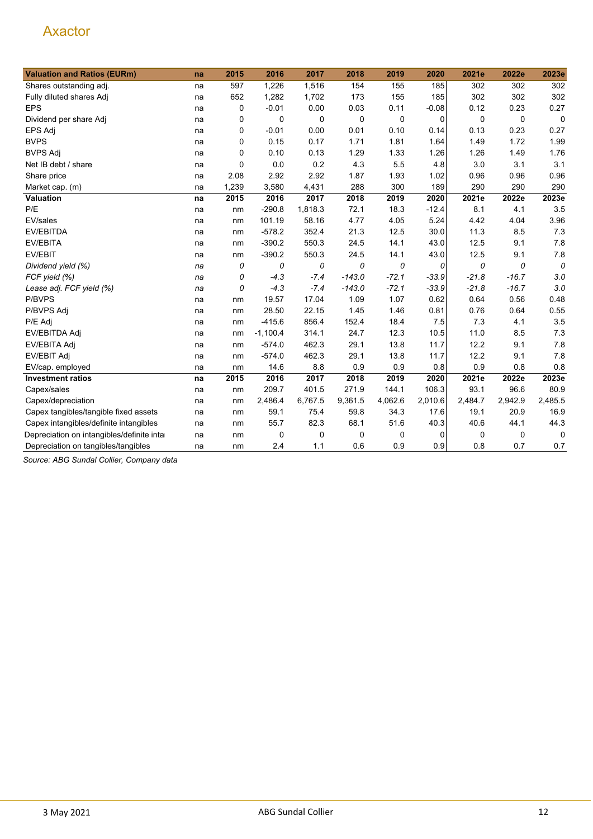| <b>Valuation and Ratios (EURm)</b>         | na | 2015        | 2016       | 2017    | 2018     | 2019        | 2020        | 2021e   | 2022e   | 2023e       |
|--------------------------------------------|----|-------------|------------|---------|----------|-------------|-------------|---------|---------|-------------|
| Shares outstanding adj.                    | na | 597         | 1,226      | 1,516   | 154      | 155         | 185         | 302     | 302     | 302         |
| Fully diluted shares Adj                   | na | 652         | 1,282      | 1,702   | 173      | 155         | 185         | 302     | 302     | 302         |
| <b>EPS</b>                                 | na | 0           | $-0.01$    | 0.00    | 0.03     | 0.11        | $-0.08$     | 0.12    | 0.23    | 0.27        |
| Dividend per share Adj                     | na | 0           | 0          | 0       | 0        | $\mathbf 0$ | $\mathbf 0$ | 0       | 0       | $\mathbf 0$ |
| EPS Adj                                    | na | 0           | $-0.01$    | 0.00    | 0.01     | 0.10        | 0.14        | 0.13    | 0.23    | 0.27        |
| <b>BVPS</b>                                | na | 0           | 0.15       | 0.17    | 1.71     | 1.81        | 1.64        | 1.49    | 1.72    | 1.99        |
| <b>BVPS Adj</b>                            | na | 0           | 0.10       | 0.13    | 1.29     | 1.33        | 1.26        | 1.26    | 1.49    | 1.76        |
| Net IB debt / share                        | na | $\mathbf 0$ | 0.0        | 0.2     | 4.3      | 5.5         | 4.8         | 3.0     | 3.1     | 3.1         |
| Share price                                | na | 2.08        | 2.92       | 2.92    | 1.87     | 1.93        | 1.02        | 0.96    | 0.96    | 0.96        |
| Market cap. (m)                            | na | 1,239       | 3,580      | 4,431   | 288      | 300         | 189         | 290     | 290     | 290         |
| Valuation                                  | na | 2015        | 2016       | 2017    | 2018     | 2019        | 2020        | 2021e   | 2022e   | 2023e       |
| P/E                                        | na | nm          | $-290.8$   | 1,818.3 | 72.1     | 18.3        | $-12.4$     | 8.1     | 4.1     | 3.5         |
| EV/sales                                   | na | nm          | 101.19     | 58.16   | 4.77     | 4.05        | 5.24        | 4.42    | 4.04    | 3.96        |
| EV/EBITDA                                  | na | nm          | $-578.2$   | 352.4   | 21.3     | 12.5        | 30.0        | 11.3    | 8.5     | 7.3         |
| <b>EV/EBITA</b>                            | na | nm          | $-390.2$   | 550.3   | 24.5     | 14.1        | 43.0        | 12.5    | 9.1     | 7.8         |
| EV/EBIT                                    | na | nm          | $-390.2$   | 550.3   | 24.5     | 14.1        | 43.0        | 12.5    | 9.1     | 7.8         |
| Dividend yield (%)                         | na | 0           | 0          | 0       | 0        | 0           | 0           | 0       | 0       | 0           |
| FCF yield (%)                              | na | 0           | $-4.3$     | $-7.4$  | $-143.0$ | $-72.1$     | $-33.9$     | $-21.8$ | $-16.7$ | 3.0         |
| Lease adj. FCF yield (%)                   | na | 0           | $-4.3$     | $-7.4$  | $-143.0$ | $-72.1$     | $-33.9$     | $-21.8$ | $-16.7$ | 3.0         |
| P/BVPS                                     | na | nm          | 19.57      | 17.04   | 1.09     | 1.07        | 0.62        | 0.64    | 0.56    | 0.48        |
| P/BVPS Adj                                 | na | nm          | 28.50      | 22.15   | 1.45     | 1.46        | 0.81        | 0.76    | 0.64    | 0.55        |
| P/E Adj                                    | na | nm          | $-415.6$   | 856.4   | 152.4    | 18.4        | 7.5         | 7.3     | 4.1     | 3.5         |
| EV/EBITDA Adj                              | na | nm          | $-1,100.4$ | 314.1   | 24.7     | 12.3        | 10.5        | 11.0    | 8.5     | 7.3         |
| EV/EBITA Adj                               | na | nm          | $-574.0$   | 462.3   | 29.1     | 13.8        | 11.7        | 12.2    | 9.1     | 7.8         |
| EV/EBIT Adj                                | na | nm          | $-574.0$   | 462.3   | 29.1     | 13.8        | 11.7        | 12.2    | 9.1     | 7.8         |
| EV/cap. employed                           | na | nm          | 14.6       | 8.8     | 0.9      | 0.9         | 0.8         | 0.9     | 0.8     | 0.8         |
| <b>Investment ratios</b>                   | na | 2015        | 2016       | 2017    | 2018     | 2019        | 2020        | 2021e   | 2022e   | 2023e       |
| Capex/sales                                | na | nm          | 209.7      | 401.5   | 271.9    | 144.1       | 106.3       | 93.1    | 96.6    | 80.9        |
| Capex/depreciation                         | na | nm          | 2,486.4    | 6,767.5 | 9,361.5  | 4,062.6     | 2,010.6     | 2,484.7 | 2,942.9 | 2,485.5     |
| Capex tangibles/tangible fixed assets      | na | nm          | 59.1       | 75.4    | 59.8     | 34.3        | 17.6        | 19.1    | 20.9    | 16.9        |
| Capex intangibles/definite intangibles     | na | nm          | 55.7       | 82.3    | 68.1     | 51.6        | 40.3        | 40.6    | 44.1    | 44.3        |
| Depreciation on intangibles/definite intar | na | nm          | 0          | 0       | 0        | 0           | 0           | 0       | 0       | 0           |
| Depreciation on tangibles/tangibles        | na | nm          | 2.4        | 1.1     | 0.6      | 0.9         | 0.9         | 0.8     | 0.7     | 0.7         |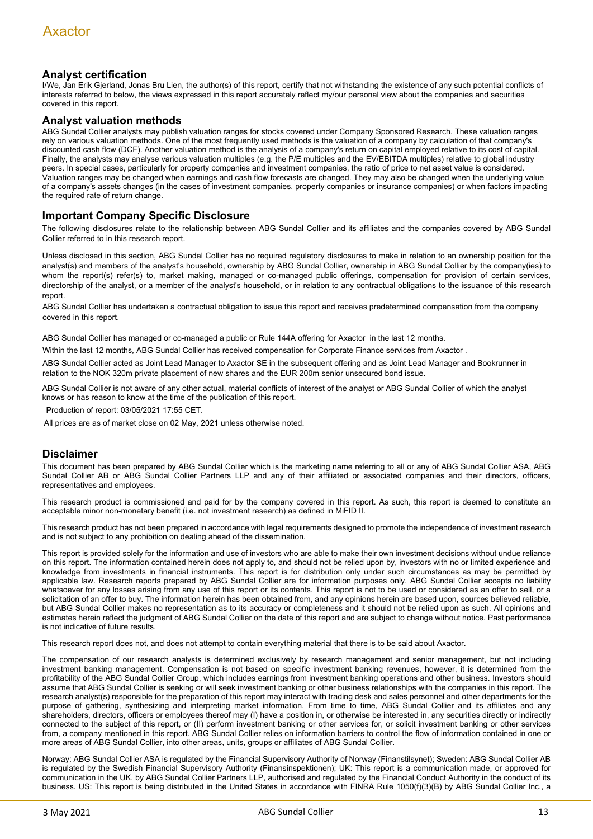#### **Analyst certification**

I/We, Jan Erik Gjerland, Jonas Bru Lien, the author(s) of this report, certify that not withstanding the existence of any such potential conflicts of interests referred to below, the views expressed in this report accurately reflect my/our personal view about the companies and securities covered in this report.

#### **Analyst valuation methods**

ABG Sundal Collier analysts may publish valuation ranges for stocks covered under Company Sponsored Research. These valuation ranges rely on various valuation methods. One of the most frequently used methods is the valuation of a company by calculation of that company's discounted cash flow (DCF). Another valuation method is the analysis of a company's return on capital employed relative to its cost of capital. Finally, the analysts may analyse various valuation multiples (e.g. the P/E multiples and the EV/EBITDA multiples) relative to global industry peers. In special cases, particularly for property companies and investment companies, the ratio of price to net asset value is considered. Valuation ranges may be changed when earnings and cash flow forecasts are changed. They may also be changed when the underlying value of a company's assets changes (in the cases of investment companies, property companies or insurance companies) or when factors impacting the required rate of return change.

#### **Important Company Specific Disclosure**

The following disclosures relate to the relationship between ABG Sundal Collier and its affiliates and the companies covered by ABG Sundal Collier referred to in this research report.

Unless disclosed in this section, ABG Sundal Collier has no required regulatory disclosures to make in relation to an ownership position for the analyst(s) and members of the analyst's household, ownership by ABG Sundal Collier, ownership in ABG Sundal Collier by the company(ies) to whom the report(s) refer(s) to, market making, managed or co-managed public offerings, compensation for provision of certain services, directorship of the analyst, or a member of the analyst's household, or in relation to any contractual obligations to the issuance of this research report.

ABG Sundal Collier has undertaken a contractual obligation to issue this report and receives predetermined compensation from the company covered in this report.

ABG Sundal Collier has managed or co-managed a public or Rule 144A offering for Axactor in the last 12 months.

Within the last 12 months, ABG Sundal Collier has received compensation for Corporate Finance services from Axactor .

ABG Sundal Collier acted as Joint Lead Manager to Axactor SE in the subsequent offering and as Joint Lead Manager and Bookrunner in relation to the NOK 320m private placement of new shares and the EUR 200m senior unsecured bond issue.

ABG Sundal Collier is not aware of any other actual, material conflicts of interest of the analyst or ABG Sundal Collier of which the analyst knows or has reason to know at the time of the publication of this report.

Production of report: 03/05/2021 17:55 CET.

All prices are as of market close on 02 May, 2021 unless otherwise noted.

#### **Disclaimer**

This document has been prepared by ABG Sundal Collier which is the marketing name referring to all or any of ABG Sundal Collier ASA, ABG Sundal Collier AB or ABG Sundal Collier Partners LLP and any of their affiliated or associated companies and their directors, officers, representatives and employees.

This research product is commissioned and paid for by the company covered in this report. As such, this report is deemed to constitute an acceptable minor non-monetary benefit (i.e. not investment research) as defined in MiFID II.

This research product has not been prepared in accordance with legal requirements designed to promote the independence of investment research and is not subject to any prohibition on dealing ahead of the dissemination.

This report is provided solely for the information and use of investors who are able to make their own investment decisions without undue reliance on this report. The information contained herein does not apply to, and should not be relied upon by, investors with no or limited experience and knowledge from investments in financial instruments. This report is for distribution only under such circumstances as may be permitted by applicable law. Research reports prepared by ABG Sundal Collier are for information purposes only. ABG Sundal Collier accepts no liability whatsoever for any losses arising from any use of this report or its contents. This report is not to be used or considered as an offer to sell, or a solicitation of an offer to buy. The information herein has been obtained from, and any opinions herein are based upon, sources believed reliable, but ABG Sundal Collier makes no representation as to its accuracy or completeness and it should not be relied upon as such. All opinions and estimates herein reflect the judgment of ABG Sundal Collier on the date of this report and are subject to change without notice. Past performance is not indicative of future results.

This research report does not, and does not attempt to contain everything material that there is to be said about Axactor.

The compensation of our research analysts is determined exclusively by research management and senior management, but not including investment banking management. Compensation is not based on specific investment banking revenues, however, it is determined from the profitability of the ABG Sundal Collier Group, which includes earnings from investment banking operations and other business. Investors should assume that ABG Sundal Collier is seeking or will seek investment banking or other business relationships with the companies in this report. The research analyst(s) responsible for the preparation of this report may interact with trading desk and sales personnel and other departments for the purpose of gathering, synthesizing and interpreting market information. From time to time, ABG Sundal Collier and its affiliates and any shareholders, directors, officers or employees thereof may (I) have a position in, or otherwise be interested in, any securities directly or indirectly connected to the subject of this report, or (II) perform investment banking or other services for, or solicit investment banking or other services from, a company mentioned in this report. ABG Sundal Collier relies on information barriers to control the flow of information contained in one or more areas of ABG Sundal Collier, into other areas, units, groups or affiliates of ABG Sundal Collier.

Norway: ABG Sundal Collier ASA is regulated by the Financial Supervisory Authority of Norway (Finanstilsynet); Sweden: ABG Sundal Collier AB is regulated by the Swedish Financial Supervisory Authority (Finansinspektionen); UK: This report is a communication made, or approved for communication in the UK, by ABG Sundal Collier Partners LLP, authorised and regulated by the Financial Conduct Authority in the conduct of its business. US: This report is being distributed in the United States in accordance with FINRA Rule 1050(f)(3)(B) by ABG Sundal Collier Inc., a